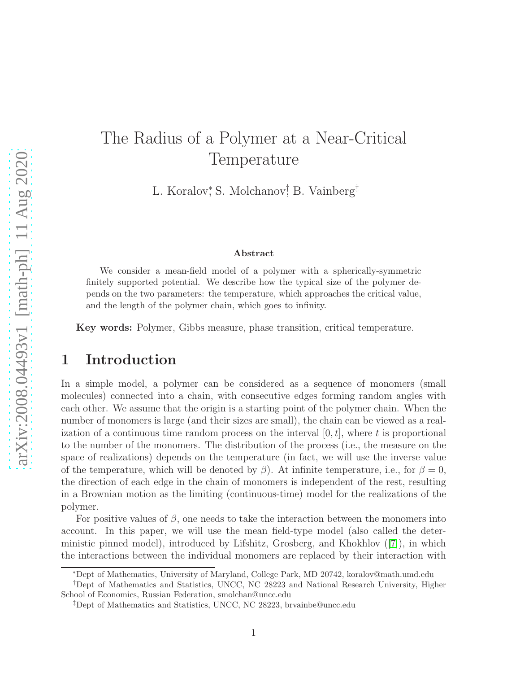# The Radius of a Polymer at a Near-Critical Temperature

L. Koralov, S. Molchanov, B. Vainberg<sup>‡</sup>

#### Abstract

We consider a mean-field model of a polymer with a spherically-symmetric finitely supported potential. We describe how the typical size of the polymer depends on the two parameters: the temperature, which approaches the critical value, and the length of the polymer chain, which goes to infinity.

Key words: Polymer, Gibbs measure, phase transition, critical temperature.

### 1 Introduction

In a simple model, a polymer can be considered as a sequence of monomers (small molecules) connected into a chain, with consecutive edges forming random angles with each other. We assume that the origin is a starting point of the polymer chain. When the number of monomers is large (and their sizes are small), the chain can be viewed as a realization of a continuous time random process on the interval  $[0, t]$ , where t is proportional to the number of the monomers. The distribution of the process (i.e., the measure on the space of realizations) depends on the temperature (in fact, we will use the inverse value of the temperature, which will be denoted by  $\beta$ ). At infinite temperature, i.e., for  $\beta = 0$ , the direction of each edge in the chain of monomers is independent of the rest, resulting in a Brownian motion as the limiting (continuous-time) model for the realizations of the polymer.

For positive values of  $\beta$ , one needs to take the interaction between the monomers into account. In this paper, we will use the mean field-type model (also called the deterministic pinned model), introduced by Lifshitz, Grosberg, and Khokhlov([\[7\]](#page-9-0)), in which the interactions between the individual monomers are replaced by their interaction with

<sup>∗</sup>Dept of Mathematics, University of Maryland, College Park, MD 20742, koralov@math.umd.edu

<sup>†</sup>Dept of Mathematics and Statistics, UNCC, NC 28223 and National Research University, Higher School of Economics, Russian Federation, smolchan@uncc.edu

<sup>‡</sup>Dept of Mathematics and Statistics, UNCC, NC 28223, brvainbe@uncc.edu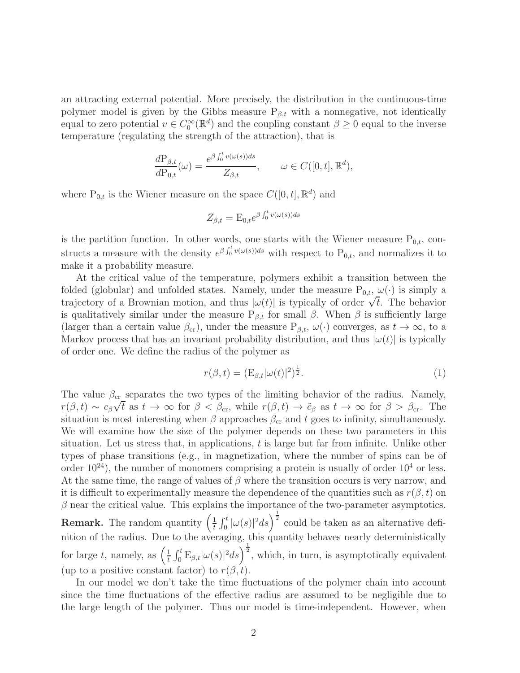an attracting external potential. More precisely, the distribution in the continuous-time polymer model is given by the Gibbs measure  $P_{\beta,t}$  with a nonnegative, not identically equal to zero potential  $v \in C_0^{\infty}(\mathbb{R}^d)$  and the coupling constant  $\beta \geq 0$  equal to the inverse temperature (regulating the strength of the attraction), that is

$$
\frac{d\mathcal{P}_{\beta,t}}{d\mathcal{P}_{0,t}}(\omega) = \frac{e^{\beta \int_0^t v(\omega(s))ds}}{Z_{\beta,t}}, \qquad \omega \in C([0,t], \mathbb{R}^d),
$$

where  $P_{0,t}$  is the Wiener measure on the space  $C([0,t], \mathbb{R}^d)$  and

$$
Z_{\beta,t} = \mathcal{E}_{0,t} e^{\beta \int_0^t v(\omega(s))ds}
$$

is the partition function. In other words, one starts with the Wiener measure  $P_{0,t}$ , constructs a measure with the density  $e^{\beta \int_0^t v(\omega(s))ds}$  with respect to  $P_{0,t}$ , and normalizes it to make it a probability measure.

At the critical value of the temperature, polymers exhibit a transition between the folded (globular) and unfolded states. Namely, under the measure  $P_{0,t}$ ,  $\omega(\cdot)$  is simply a trajectory of a Brownian motion, and thus  $|\omega(t)|$  is typically of order  $\sqrt{t}$ . The behavior is qualitatively similar under the measure  $P_{\beta,t}$  for small  $\beta$ . When  $\beta$  is sufficiently large (larger than a certain value  $\beta_{cr}$ ), under the measure  $P_{\beta,t}$ ,  $\omega(\cdot)$  converges, as  $t \to \infty$ , to a Markov process that has an invariant probability distribution, and thus  $|\omega(t)|$  is typically of order one. We define the radius of the polymer as

$$
r(\beta, t) = (\mathcal{E}_{\beta, t} | \omega(t) |^2)^{\frac{1}{2}}.
$$
\n(1)

The value  $\beta_{cr}$  separates the two types of the limiting behavior of the radius. Namely,  $r(\beta, t) \sim c_{\beta} \sqrt{t}$  as  $t \to \infty$  for  $\beta < \beta_{cr}$ , while  $r(\beta, t) \to \tilde{c}_{\beta}$  as  $t \to \infty$  for  $\beta > \beta_{cr}$ . The situation is most interesting when  $\beta$  approaches  $\beta_{cr}$  and t goes to infinity, simultaneously. We will examine how the size of the polymer depends on these two parameters in this situation. Let us stress that, in applications,  $t$  is large but far from infinite. Unlike other types of phase transitions (e.g., in magnetization, where the number of spins can be of order  $10^{24}$ ), the number of monomers comprising a protein is usually of order  $10^4$  or less. At the same time, the range of values of  $\beta$  where the transition occurs is very narrow, and it is difficult to experimentally measure the dependence of the quantities such as  $r(\beta, t)$  on  $\beta$  near the critical value. This explains the importance of the two-parameter asymptotics. **Remark.** The random quantity  $\left(\frac{1}{t}\right)$  $\frac{1}{t} \int_0^t |\omega(s)|^2 ds$  could be taken as an alternative defi-

nition of the radius. Due to the averaging, this quantity behaves nearly deterministically for large t, namely, as  $\left(\frac{1}{t}\right)$  $\frac{1}{t} \int_0^t E_{\beta,t} |\omega(s)|^2 ds \bigg)^{\frac{1}{2}}$ , which, in turn, is asymptotically equivalent (up to a positive constant factor) to  $r(\beta, t)$ .

In our model we don't take the time fluctuations of the polymer chain into account since the time fluctuations of the effective radius are assumed to be negligible due to the large length of the polymer. Thus our model is time-independent. However, when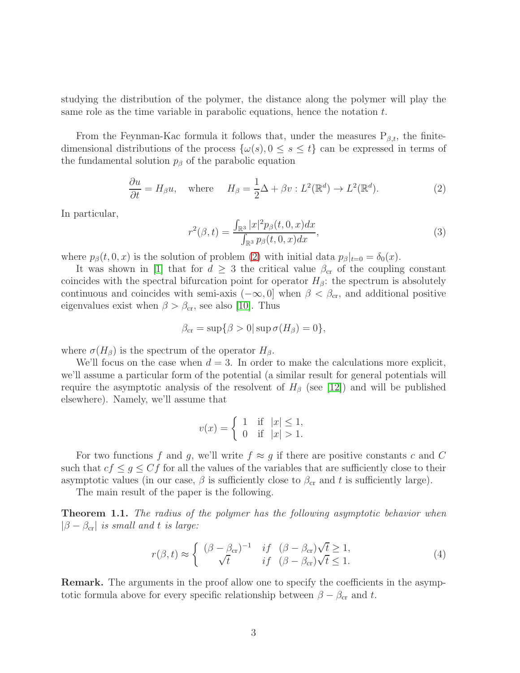studying the distribution of the polymer, the distance along the polymer will play the same role as the time variable in parabolic equations, hence the notation  $t$ .

From the Feynman-Kac formula it follows that, under the measures  $P_{\beta,t}$ , the finitedimensional distributions of the process  $\{\omega(s), 0 \le s \le t\}$  can be expressed in terms of the fundamental solution  $p<sub>\beta</sub>$  of the parabolic equation

<span id="page-2-0"></span>
$$
\frac{\partial u}{\partial t} = H_{\beta} u, \quad \text{where} \quad H_{\beta} = \frac{1}{2} \Delta + \beta v : L^{2}(\mathbb{R}^{d}) \to L^{2}(\mathbb{R}^{d}). \tag{2}
$$

In particular,

$$
r^{2}(\beta, t) = \frac{\int_{\mathbb{R}^{3}} |x|^{2} p_{\beta}(t, 0, x) dx}{\int_{\mathbb{R}^{3}} p_{\beta}(t, 0, x) dx},
$$
\n(3)

where  $p_{\beta}(t, 0, x)$  is the solution of problem [\(2\)](#page-2-0) with initial data  $p_{\beta}|_{t=0} = \delta_0(x)$ .

It was shown in [\[1\]](#page-8-0) that for  $d \geq 3$  the critical value  $\beta_{cr}$  of the coupling constant coincides with the spectral bifurcation point for operator  $H_\beta$ : the spectrum is absolutely continuous and coincides with semi-axis ( $-\infty$ , 0] when  $\beta < \beta_{cr}$ , and additional positive eigenvalues exist when  $\beta > \beta_{cr}$ , see also [\[10\]](#page-9-1). Thus

$$
\beta_{\rm cr} = \sup \{ \beta > 0 | \sup \sigma(H_\beta) = 0 \},
$$

where  $\sigma(H_\beta)$  is the spectrum of the operator  $H_\beta$ .

We'll focus on the case when  $d = 3$ . In order to make the calculations more explicit, we'll assume a particular form of the potential (a similar result for general potentials will require the asymptotic analysis of the resolvent of  $H_\beta$  (see [\[12\]](#page-9-2)) and will be published elsewhere). Namely, we'll assume that

$$
v(x) = \begin{cases} 1 & \text{if } |x| \le 1, \\ 0 & \text{if } |x| > 1. \end{cases}
$$

For two functions f and g, we'll write  $f \approx g$  if there are positive constants c and C such that  $cf \leq g \leq Cf$  for all the values of the variables that are sufficiently close to their asymptotic values (in our case,  $\beta$  is sufficiently close to  $\beta_{cr}$  and t is sufficiently large).

The main result of the paper is the following.

Theorem 1.1. The radius of the polymer has the following asymptotic behavior when  $|\beta - \beta_{cr}|$  is small and t is large:

<span id="page-2-1"></span>
$$
r(\beta, t) \approx \begin{cases} (\beta - \beta_{\rm cr})^{-1} & if \ (\beta - \beta_{\rm cr})\sqrt{t} \ge 1, \\ \sqrt{t} & if \ (\beta - \beta_{\rm cr})\sqrt{t} \le 1. \end{cases}
$$
(4)

Remark. The arguments in the proof allow one to specify the coefficients in the asymptotic formula above for every specific relationship between  $\beta - \beta_{cr}$  and t.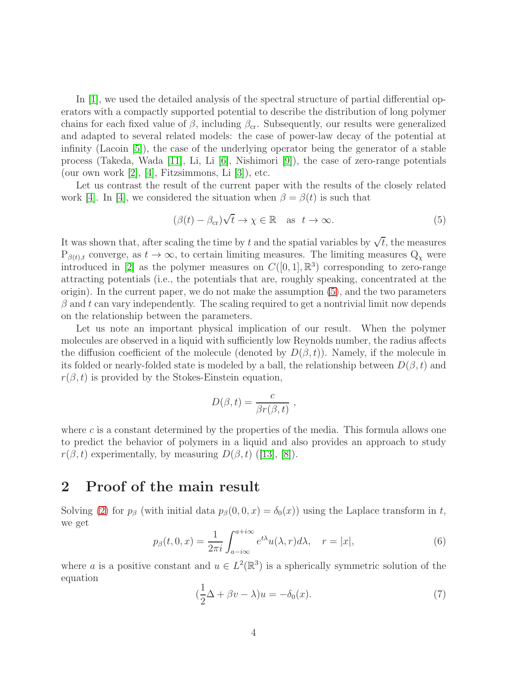In [\[1\]](#page-8-0), we used the detailed analysis of the spectral structure of partial differential operators with a compactly supported potential to describe the distribution of long polymer chains for each fixed value of  $\beta$ , including  $\beta_{\rm cr}$ . Subsequently, our results were generalized and adapted to several related models: the case of power-law decay of the potential at infinity (Lacoin [\[5\]](#page-9-3)), the case of the underlying operator being the generator of a stable process (Takeda, Wada [\[11\]](#page-9-4), Li, Li [\[6\]](#page-9-5), Nishimori [\[9\]](#page-9-6)), the case of zero-range potentials (our own work  $[2]$ ,  $[4]$ , Fitzsimmons, Li  $[3]$ ), etc.

Let us contrast the result of the current paper with the results of the closely related work [\[4\]](#page-9-8). In [4], we considered the situation when  $\beta = \beta(t)$  is such that

<span id="page-3-0"></span>
$$
(\beta(t) - \beta_{\rm cr})\sqrt{t} \to \chi \in \mathbb{R} \quad \text{as} \ \ t \to \infty. \tag{5}
$$

It was shown that, after scaling the time by t and the spatial variables by  $\sqrt{t}$ , the measures  $P_{\beta(t),t}$  converge, as  $t \to \infty$ , to certain limiting measures. The limiting measures  $Q_{\chi}$  were introduced in [\[2\]](#page-9-7) as the polymer measures on  $C([0,1], \mathbb{R}^{3})$  corresponding to zero-range attracting potentials (i.e., the potentials that are, roughly speaking, concentrated at the origin). In the current paper, we do not make the assumption [\(5\)](#page-3-0), and the two parameters  $\beta$  and t can vary independently. The scaling required to get a nontrivial limit now depends on the relationship between the parameters.

Let us note an important physical implication of our result. When the polymer molecules are observed in a liquid with sufficiently low Reynolds number, the radius affects the diffusion coefficient of the molecule (denoted by  $D(\beta, t)$ ). Namely, if the molecule in its folded or nearly-folded state is modeled by a ball, the relationship between  $D(\beta, t)$  and  $r(\beta, t)$  is provided by the Stokes-Einstein equation,

$$
D(\beta, t) = \frac{c}{\beta r(\beta, t)},
$$

where  $c$  is a constant determined by the properties of the media. This formula allows one to predict the behavior of polymers in a liquid and also provides an approach to study  $r(\beta, t)$  $r(\beta, t)$  $r(\beta, t)$  experimentally, by measuring  $D(\beta, t)$  ([\[13\]](#page-9-10), [\[8\]](#page-9-11)).

# 2 Proof of the main result

Solving [\(2\)](#page-2-0) for  $p_\beta$  (with initial data  $p_\beta(0, 0, x) = \delta_0(x)$ ) using the Laplace transform in t, we get

<span id="page-3-1"></span>
$$
p_{\beta}(t,0,x) = \frac{1}{2\pi i} \int_{a-i\infty}^{a+i\infty} e^{t\lambda} u(\lambda,r) d\lambda, \quad r = |x|,
$$
 (6)

where a is a positive constant and  $u \in L^2(\mathbb{R}^3)$  is a spherically symmetric solution of the equation

<span id="page-3-2"></span>
$$
(\frac{1}{2}\Delta + \beta v - \lambda)u = -\delta_0(x). \tag{7}
$$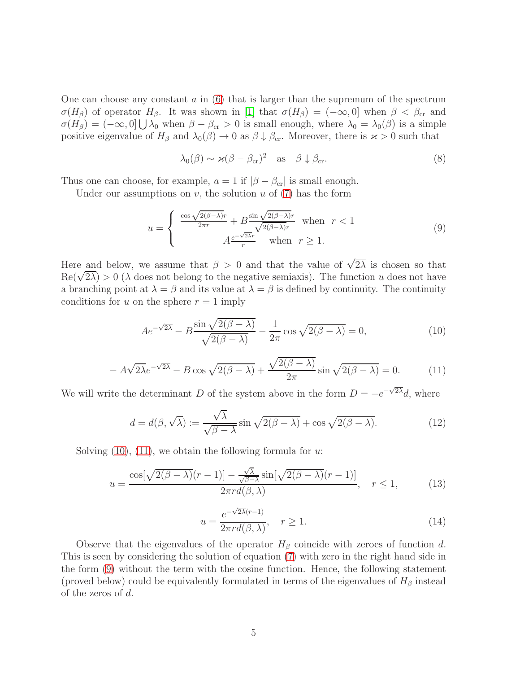One can choose any constant  $a$  in  $(6)$  that is larger than the supremum of the spectrum  $\sigma(H_\beta)$  of operator  $H_\beta$ . It was shown in [\[1\]](#page-8-0) that  $\sigma(H_\beta) = (-\infty, 0]$  when  $\beta < \beta_{cr}$  and  $\sigma(H_\beta) = (-\infty, 0] \bigcup \lambda_0$  when  $\beta - \beta_{cr} > 0$  is small enough, where  $\lambda_0 = \lambda_0(\beta)$  is a simple positive eigenvalue of  $H_\beta$  and  $\lambda_0(\beta) \to 0$  as  $\beta \downarrow \beta_{cr}$ . Moreover, there is  $\varkappa > 0$  such that

<span id="page-4-3"></span>
$$
\lambda_0(\beta) \sim \varkappa (\beta - \beta_{cr})^2 \quad \text{as} \quad \beta \downarrow \beta_{cr}.
$$
 (8)

Thus one can choose, for example,  $a = 1$  if  $|\beta - \beta_{cr}|$  is small enough.

Under our assumptions on  $v$ , the solution  $u$  of  $(7)$  has the form

<span id="page-4-2"></span>
$$
u = \begin{cases} \frac{\cos\sqrt{2(\beta-\lambda)}r}{2\pi r} + B \frac{\sin\sqrt{2(\beta-\lambda)}r}{\sqrt{2(\beta-\lambda)}r} & \text{when } r < 1\\ A \frac{e^{-\sqrt{2\lambda}r}}{r} & \text{when } r \ge 1. \end{cases}
$$
(9)

Here and below, we assume that  $\beta > 0$  and that the value of  $\sqrt{2\lambda}$  is chosen so that  $\text{Re}(\sqrt{2\lambda}) > 0$  ( $\lambda$  does not belong to the negative semiaxis). The function u does not have a branching point at  $\lambda = \beta$  and its value at  $\lambda = \beta$  is defined by continuity. The continuity conditions for u on the sphere  $r = 1$  imply

<span id="page-4-0"></span>
$$
Ae^{-\sqrt{2\lambda}} - B\frac{\sin\sqrt{2(\beta-\lambda)}}{\sqrt{2(\beta-\lambda)}} - \frac{1}{2\pi}\cos\sqrt{2(\beta-\lambda)}} = 0,
$$
\n(10)

<span id="page-4-1"></span>
$$
-A\sqrt{2\lambda}e^{-\sqrt{2\lambda}} - B\cos\sqrt{2(\beta-\lambda)} + \frac{\sqrt{2(\beta-\lambda)}}{2\pi}\sin\sqrt{2(\beta-\lambda)} = 0.
$$
 (11)

We will write the determinant D of the system above in the form  $D = -e^{-\sqrt{2\lambda}}d$ , where

<span id="page-4-4"></span>
$$
d = d(\beta, \sqrt{\lambda}) := \frac{\sqrt{\lambda}}{\sqrt{\beta - \lambda}} \sin \sqrt{2(\beta - \lambda)} + \cos \sqrt{2(\beta - \lambda)}.
$$
 (12)

Solving  $(10)$ ,  $(11)$ , we obtain the following formula for u:

<span id="page-4-5"></span>
$$
u = \frac{\cos[\sqrt{2(\beta - \lambda)}(r-1)] - \frac{\sqrt{\lambda}}{\sqrt{\beta - \lambda}}\sin[\sqrt{2(\beta - \lambda)}(r-1)]}{2\pi r d(\beta, \lambda)}, \quad r \le 1,
$$
 (13)

<span id="page-4-6"></span>
$$
u = \frac{e^{-\sqrt{2\lambda}(r-1)}}{2\pi r d(\beta, \lambda)}, \quad r \ge 1.
$$
\n(14)

Observe that the eigenvalues of the operator  $H_\beta$  coincide with zeroes of function d. This is seen by considering the solution of equation [\(7\)](#page-3-2) with zero in the right hand side in the form [\(9\)](#page-4-2) without the term with the cosine function. Hence, the following statement (proved below) could be equivalently formulated in terms of the eigenvalues of  $H_\beta$  instead of the zeros of d.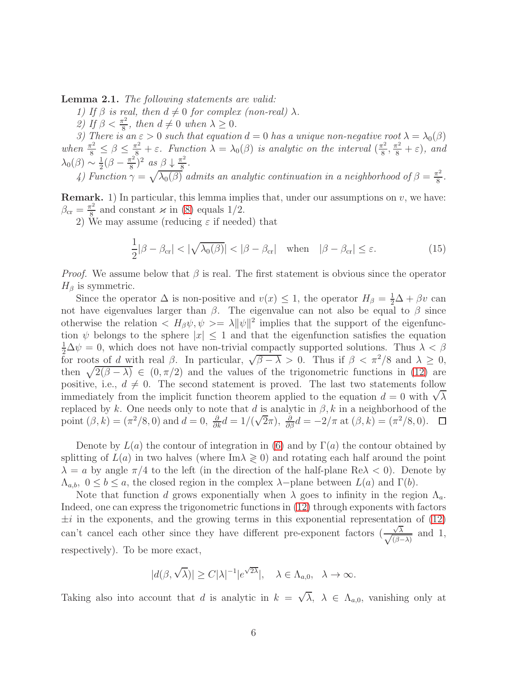Lemma 2.1. The following statements are valid:

1) If  $\beta$  is real, then  $d \neq 0$  for complex (non-real)  $\lambda$ .

2) If  $\beta < \frac{\pi^2}{8}$  $\frac{\pi^2}{8}$ , then  $d \neq 0$  when  $\lambda \geq 0$ .

3) There is an  $\varepsilon > 0$  such that equation  $d = 0$  has a unique non-negative root  $\lambda = \lambda_0(\beta)$ when  $\frac{\pi^2}{8} \leq \beta \leq \frac{\pi^2}{8} + \varepsilon$ . Function  $\lambda = \lambda_0(\beta)$  is analytic on the interval  $\left(\frac{\pi^2}{8}\right)$  $(\frac{\pi^2}{8}, \frac{\pi^2}{8} + \varepsilon), \text{ and}$  $\lambda_0(\beta) \sim \frac{1}{2}$  $\frac{1}{2}(\beta - \frac{\pi^2}{8})$  $(\frac{\pi^2}{8})^2$  as  $\beta \downarrow \frac{\pi^2}{8}$  $\frac{r^2}{8}$ .

4) Function  $\gamma = \sqrt{\lambda_0(\beta)}$  admits an analytic continuation in a neighborhood of  $\beta = \frac{\pi^2}{8}$  $rac{\tau^2}{8}$ .

**Remark.** 1) In particular, this lemma implies that, under our assumptions on  $v$ , we have:  $\beta_{\rm cr} = \frac{\pi^2}{8}$  $\frac{\pi^2}{8}$  and constant  $\varkappa$  in [\(8\)](#page-4-3) equals 1/2.

2) We may assume (reducing  $\varepsilon$  if needed) that

<span id="page-5-0"></span>
$$
\frac{1}{2}|\beta - \beta_{\rm cr}| < |\sqrt{\lambda_0(\beta)}| < |\beta - \beta_{\rm cr}| \quad \text{when} \quad |\beta - \beta_{\rm cr}| \le \varepsilon. \tag{15}
$$

*Proof.* We assume below that  $\beta$  is real. The first statement is obvious since the operator  $H_{\beta}$  is symmetric.

Since the operator  $\Delta$  is non-positive and  $v(x) \leq 1$ , the operator  $H_{\beta} = \frac{1}{2}\Delta + \beta v$  can not have eigenvalues larger than  $\beta$ . The eigenvalue can not also be equal to  $\beta$  since otherwise the relation  $\langle H_{\beta}\psi, \psi \rangle = \lambda ||\psi||^2$  implies that the support of the eigenfunction  $\psi$  belongs to the sphere  $|x| \leq 1$  and that the eigenfunction satisfies the equation  $\frac{1}{2}\Delta\psi=0$ , which does not have non-trivial compactly supported solutions. Thus  $\lambda < \beta$ for roots of d with real  $\beta$ . In particular,  $\sqrt{\beta - \lambda} > 0$ . Thus if  $\beta < \pi^2/8$  and  $\lambda \ge 0$ , then  $\sqrt{2(\beta - \lambda)} \in (0, \pi/2)$  and the values of the trigonometric functions in [\(12\)](#page-4-4) are positive, i.e.,  $d \neq 0$ . The second statement is proved. The last two statements follow immediately from the implicit function theorem applied to the equation  $d = 0$  with  $\sqrt{\lambda}$ replaced by k. One needs only to note that d is analytic in  $\beta$ , k in a neighborhood of the point  $(\beta, k) = (\pi^2/8, 0)$  and  $d = 0$ ,  $\frac{\partial}{\partial k}d = 1/(\sqrt{2}\pi)$ ,  $\frac{\partial}{\partial \beta}d = -2/\pi$  at  $(\beta, k) = (\pi^2/8, 0)$ .

Denote by  $L(a)$  the contour of integration in [\(6\)](#page-3-1) and by  $\Gamma(a)$  the contour obtained by splitting of  $L(a)$  in two halves (where Im $\lambda \geq 0$ ) and rotating each half around the point  $\lambda = a$  by angle  $\pi/4$  to the left (in the direction of the half-plane Re $\lambda < 0$ ). Denote by  $\Lambda_{a,b}, 0 \leq b \leq a$ , the closed region in the complex  $\lambda$ -plane between  $L(a)$  and  $\Gamma(b)$ .

Note that function d grows exponentially when  $\lambda$  goes to infinity in the region  $\Lambda_a$ . Indeed, one can express the trigonometric functions in [\(12\)](#page-4-4) through exponents with factors  $\pm i$  in the exponents, and the growing terms in this exponential representation of [\(12\)](#page-4-4) can't cancel each other since they have different pre-exponent factors  $\left(\frac{\sqrt{2}}{\sqrt{6}}\right)$  $\frac{\sqrt{\lambda}}{\sqrt{(\beta-1)}}$  $(\beta-\lambda)$ and 1, respectively). To be more exact,

$$
|d(\beta,\sqrt{\lambda})|\geq C|\lambda|^{-1}|e^{\sqrt{2\lambda}}|,\quad \lambda\in\Lambda_{a,0},\ \lambda\to\infty.
$$

Taking also into account that d is analytic in  $k = \sqrt{\lambda}$ ,  $\lambda \in \Lambda_{a,0}$ , vanishing only at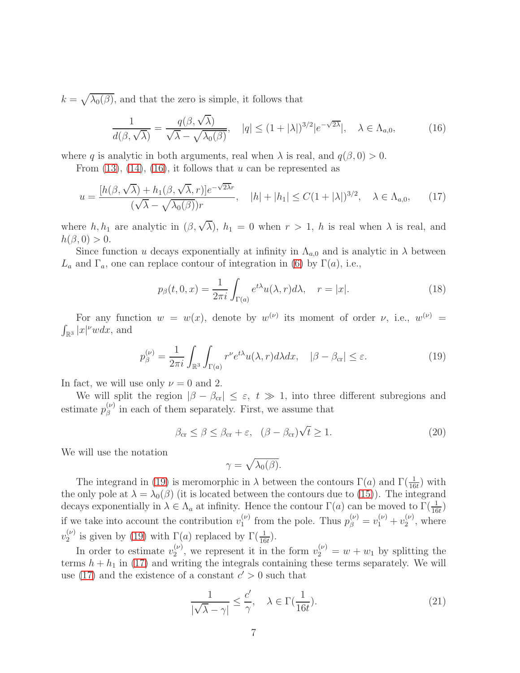$k = \sqrt{\lambda_0(\beta)}$ , and that the zero is simple, it follows that

<span id="page-6-0"></span>
$$
\frac{1}{d(\beta,\sqrt{\lambda})} = \frac{q(\beta,\sqrt{\lambda})}{\sqrt{\lambda} - \sqrt{\lambda_0(\beta)}}, \quad |q| \le (1+|\lambda|)^{3/2} |e^{-\sqrt{2\lambda}}|, \quad \lambda \in \Lambda_{a,0},
$$
 (16)

where q is analytic in both arguments, real when  $\lambda$  is real, and  $q(\beta, 0) > 0$ .

From  $(13)$ ,  $(14)$ ,  $(16)$ , it follows that u can be represented as

<span id="page-6-2"></span>
$$
u = \frac{[h(\beta, \sqrt{\lambda}) + h_1(\beta, \sqrt{\lambda}, r)]e^{-\sqrt{2\lambda}r}}{(\sqrt{\lambda} - \sqrt{\lambda_0(\beta)})r}, \quad |h| + |h_1| \le C(1 + |\lambda|)^{3/2}, \quad \lambda \in \Lambda_{a,0},\qquad(17)
$$

where  $h, h_1$  are analytic in  $(\beta, \sqrt{\lambda}), h_1 = 0$  when  $r > 1$ , h is real when  $\lambda$  is real, and  $h(\beta, 0) > 0.$ 

Since function u decays exponentially at infinity in  $\Lambda_{a,0}$  and is analytic in  $\lambda$  between  $L_a$  and  $\Gamma_a$ , one can replace contour of integration in [\(6\)](#page-3-1) by  $\Gamma(a)$ , i.e.,

$$
p_{\beta}(t,0,x) = \frac{1}{2\pi i} \int_{\Gamma(a)} e^{t\lambda} u(\lambda,r) d\lambda, \quad r = |x|.
$$
 (18)

For any function  $w = w(x)$ , denote by  $w^{(\nu)}$  its moment of order  $\nu$ , i.e.,  $w^{(\nu)} =$  $\int_{\mathbb{R}^3} |x|^{\nu}w dx$ , and

<span id="page-6-1"></span>
$$
p_{\beta}^{(\nu)} = \frac{1}{2\pi i} \int_{\mathbb{R}^3} \int_{\Gamma(a)} r^{\nu} e^{t\lambda} u(\lambda, r) d\lambda dx, \quad |\beta - \beta_{\rm cr}| \le \varepsilon. \tag{19}
$$

In fact, we will use only  $\nu = 0$  and 2.

We will split the region  $|\beta - \beta_{cr}| \leq \varepsilon$ ,  $t \gg 1$ , into three different subregions and estimate  $p_{\beta}^{(\nu)}$  $\beta_{\beta}^{(\nu)}$  in each of them separately. First, we assume that

<span id="page-6-3"></span>
$$
\beta_{\rm cr} \le \beta \le \beta_{\rm cr} + \varepsilon, \quad (\beta - \beta_{\rm cr})\sqrt{t} \ge 1.
$$
\n(20)

We will use the notation

$$
\gamma = \sqrt{\lambda_0(\beta)}.
$$

The integrand in [\(19\)](#page-6-1) is meromorphic in  $\lambda$  between the contours  $\Gamma(a)$  and  $\Gamma(\frac{1}{16t})$  with the only pole at  $\lambda = \lambda_0(\beta)$  (it is located between the contours due to [\(15\)](#page-5-0)). The integrand decays exponentially in  $\lambda \in \Lambda_a$  at infinity. Hence the contour  $\Gamma(a)$  can be moved to  $\Gamma(\frac{1}{16t})$ if we take into account the contribution  $v_1^{(\nu)}$  $j_1^{(\nu)}$  from the pole. Thus  $p_{\beta}^{(\nu)} = v_1^{(\nu)} + v_2^{(\nu)}$  $2^{(\nu)}$ , where  $v_2^{(\nu)}$  $\binom{\nu}{2}$  is given by [\(19\)](#page-6-1) with  $\Gamma(a)$  replaced by  $\Gamma(\frac{1}{16t})$ .

In order to estimate  $v_2^{(\nu)}$  $2^{(\nu)}_2$ , we represent it in the form  $v_2^{(\nu)} = w + w_1$  by splitting the terms  $h + h_1$  in [\(17\)](#page-6-2) and writing the integrals containing these terms separately. We will use [\(17\)](#page-6-2) and the existence of a constant  $c' > 0$  such that

<span id="page-6-4"></span>
$$
\frac{1}{|\sqrt{\lambda} - \gamma|} \le \frac{c'}{\gamma}, \quad \lambda \in \Gamma(\frac{1}{16t}).
$$
\n(21)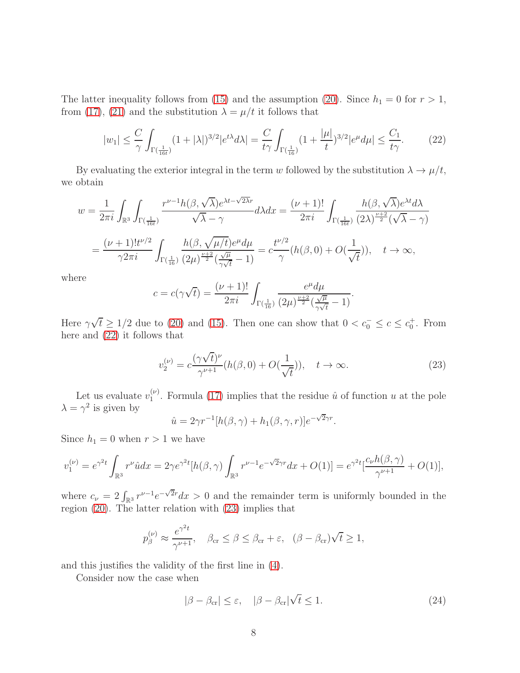The latter inequality follows from [\(15\)](#page-5-0) and the assumption [\(20\)](#page-6-3). Since  $h_1 = 0$  for  $r > 1$ , from [\(17\)](#page-6-2), [\(21\)](#page-6-4) and the substitution  $\lambda = \mu/t$  it follows that

<span id="page-7-0"></span>
$$
|w_1| \leq \frac{C}{\gamma} \int_{\Gamma(\frac{1}{16t})} (1+|\lambda|)^{3/2} |e^{t\lambda} d\lambda| = \frac{C}{t\gamma} \int_{\Gamma(\frac{1}{16})} (1+|\mu|)^{3/2} |e^{\mu} d\mu| \leq \frac{C_1}{t\gamma}.
$$
 (22)

By evaluating the exterior integral in the term w followed by the substitution  $\lambda \to \mu/t$ , we obtain

$$
w = \frac{1}{2\pi i} \int_{\mathbb{R}^3} \int_{\Gamma(\frac{1}{16t})} \frac{r^{\nu - 1}h(\beta, \sqrt{\lambda})e^{\lambda t - \sqrt{2\lambda}r}}{\sqrt{\lambda} - \gamma} d\lambda dx = \frac{(\nu + 1)!}{2\pi i} \int_{\Gamma(\frac{1}{16t})} \frac{h(\beta, \sqrt{\lambda})e^{\lambda t}d\lambda}{(2\lambda)^{\frac{\nu + 2}{2}}(\sqrt{\lambda} - \gamma)}
$$
  

$$
= \frac{(\nu + 1)!t^{\nu/2}}{\gamma 2\pi i} \int_{\Gamma(\frac{1}{16})} \frac{h(\beta, \sqrt{\mu/t})e^{\mu}d\mu}{(2\mu)^{\frac{\nu + 2}{2}}(\frac{\sqrt{\mu}}{\gamma\sqrt{t}} - 1)} = c\frac{t^{\nu/2}}{\gamma}(h(\beta, 0) + O(\frac{1}{\sqrt{t}})), \quad t \to \infty,
$$

where

$$
c = c(\gamma \sqrt{t}) = \frac{(\nu + 1)!}{2\pi i} \int_{\Gamma(\frac{1}{16})} \frac{e^{\mu} d\mu}{(2\mu)^{\frac{\nu+2}{2}} (\frac{\sqrt{\mu}}{\gamma \sqrt{t}} - 1)}.
$$

Here  $\gamma\sqrt{t} \ge 1/2$  due to [\(20\)](#page-6-3) and [\(15\)](#page-5-0). Then one can show that  $0 < c_0^- \le c \le c_0^+$ . From here and [\(22\)](#page-7-0) it follows that

<span id="page-7-1"></span>
$$
v_2^{(\nu)} = c \frac{(\gamma \sqrt{t})^{\nu}}{\gamma^{\nu+1}} (h(\beta, 0) + O(\frac{1}{\sqrt{t}})), \quad t \to \infty.
$$
 (23)

Let us evaluate  $v_1^{(\nu)}$  $\binom{v}{1}$ . Formula [\(17\)](#page-6-2) implies that the residue  $\hat{u}$  of function u at the pole  $\lambda = \gamma^2$  is given by

$$
\hat{u} = 2\gamma r^{-1} [h(\beta, \gamma) + h_1(\beta, \gamma, r)] e^{-\sqrt{2}\gamma r}.
$$

Since  $h_1 = 0$  when  $r > 1$  we have

$$
v_1^{(\nu)} = e^{\gamma^2 t} \int_{\mathbb{R}^3} r^{\nu} \hat{u} dx = 2\gamma e^{\gamma^2 t} [h(\beta, \gamma) \int_{\mathbb{R}^3} r^{\nu - 1} e^{-\sqrt{2}\gamma r} dx + O(1)] = e^{\gamma^2 t} \left[ \frac{c_{\nu} h(\beta, \gamma)}{\gamma^{\nu + 1}} + O(1) \right],
$$

where  $c_{\nu} = 2 \int_{\mathbb{R}^3} r^{\nu-1} e^{-\sqrt{2}r} dx > 0$  and the remainder term is uniformly bounded in the region [\(20\)](#page-6-3). The latter relation with [\(23\)](#page-7-1) implies that

$$
p_{\beta}^{(\nu)} \approx \frac{e^{\gamma^2 t}}{\gamma^{\nu+1}}, \quad \beta_{\rm cr} \le \beta \le \beta_{\rm cr} + \varepsilon, \quad (\beta - \beta_{\rm cr})\sqrt{t} \ge 1,
$$

and this justifies the validity of the first line in [\(4\)](#page-2-1).

Consider now the case when

<span id="page-7-2"></span>
$$
|\beta - \beta_{\rm cr}| \le \varepsilon, \quad |\beta - \beta_{\rm cr}| \sqrt{t} \le 1. \tag{24}
$$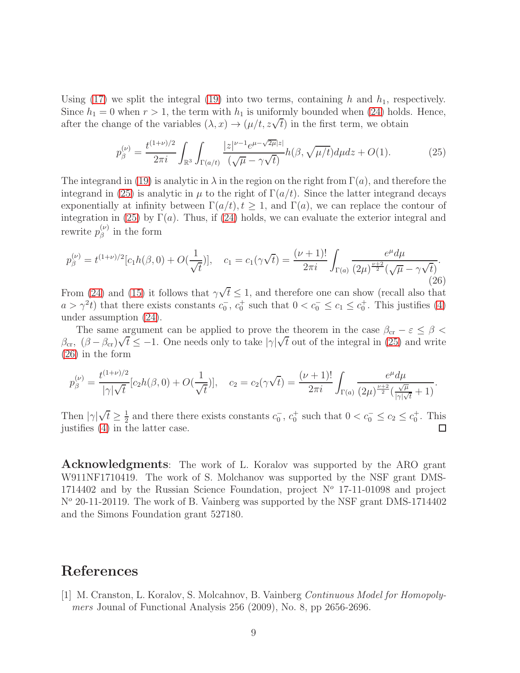Using [\(17\)](#page-6-2) we split the integral [\(19\)](#page-6-1) into two terms, containing h and  $h_1$ , respectively. Since  $h_1 = 0$  when  $r > 1$ , the term with  $h_1$  is uniformly bounded when [\(24\)](#page-7-2) holds. Hence, after the change of the variables  $(\lambda, x) \rightarrow (\mu/t, z\sqrt{t})$  in the first term, we obtain

<span id="page-8-1"></span>
$$
p_{\beta}^{(\nu)} = \frac{t^{(1+\nu)/2}}{2\pi i} \int_{\mathbb{R}^3} \int_{\Gamma(a/t)} \frac{|z|^{\nu-1} e^{\mu-\sqrt{2\mu}|z|}}{(\sqrt{\mu}-\gamma\sqrt{t})} h(\beta, \sqrt{\mu/t}) d\mu dz + O(1). \tag{25}
$$

The integrand in [\(19\)](#page-6-1) is analytic in  $\lambda$  in the region on the right from  $\Gamma(a)$ , and therefore the integrand in [\(25\)](#page-8-1) is analytic in  $\mu$  to the right of  $\Gamma(a/t)$ . Since the latter integrand decays exponentially at infinity between  $\Gamma(a/t)$ ,  $t \geq 1$ , and  $\Gamma(a)$ , we can replace the contour of integration in [\(25\)](#page-8-1) by  $\Gamma(a)$ . Thus, if [\(24\)](#page-7-2) holds, we can evaluate the exterior integral and rewrite  $p_{\beta}^{(\nu)}$  $\int_{\beta}^{(\nu)}$  in the form

<span id="page-8-2"></span>
$$
p_{\beta}^{(\nu)} = t^{(1+\nu)/2} [c_1 h(\beta, 0) + O(\frac{1}{\sqrt{t}})], \quad c_1 = c_1(\gamma \sqrt{t}) = \frac{(\nu + 1)!}{2\pi i} \int_{\Gamma(a)} \frac{e^{\mu} d\mu}{(2\mu)^{\frac{\nu + 2}{2}} (\sqrt{\mu} - \gamma \sqrt{t})}.
$$
\n(26)

From [\(24\)](#page-7-2) and [\(15\)](#page-5-0) it follows that  $\gamma\sqrt{t} \leq 1$ , and therefore one can show (recall also that  $a > \gamma^2 t$ ) that there exists constants  $c_0^-, c_0^+$  such that  $0 < c_0^- \le c_1 \le c_0^+$ . This justifies [\(4\)](#page-2-1) under assumption [\(24\)](#page-7-2).

The same argument can be applied to prove the theorem in the case  $\beta_{cr} - \varepsilon \leq \beta$  $β<sub>cr</sub>, (β − β<sub>cr</sub>)√t ≤ −1.$  One needs only to take  $|γ|√t$  out of the integral in [\(25\)](#page-8-1) and write [\(26\)](#page-8-2) in the form

$$
p_{\beta}^{(\nu)} = \frac{t^{(1+\nu)/2}}{|\gamma|\sqrt{t}} [c_2 h(\beta, 0) + O(\frac{1}{\sqrt{t}})], \quad c_2 = c_2(\gamma \sqrt{t}) = \frac{(\nu+1)!}{2\pi i} \int_{\Gamma(a)} \frac{e^{\mu} d\mu}{(2\mu)^{\frac{\nu+2}{2}} (\frac{\sqrt{\mu}}{|\gamma|\sqrt{t}} + 1)}.
$$

Then  $|\gamma|\sqrt{t} \geq \frac{1}{2}$  $\frac{1}{2}$  and there there exists constants  $c_0^-, c_0^+$  such that  $0 < c_0^- \leq c_2 \leq c_0^+$ . This justifies [\(4\)](#page-2-1) in the latter case. □

Acknowledgments: The work of L. Koralov was supported by the ARO grant W911NF1710419. The work of S. Molchanov was supported by the NSF grant DMS-1714402 and by the Russian Science Foundation, project  $N^{\circ}$  17-11-01098 and project  $N<sup>o</sup>$  20-11-20119. The work of B. Vainberg was supported by the NSF grant DMS-1714402 and the Simons Foundation grant 527180.

# <span id="page-8-0"></span>References

[1] M. Cranston, L. Koralov, S. Molcahnov, B. Vainberg Continuous Model for Homopolymers Jounal of Functional Analysis 256 (2009), No. 8, pp 2656-2696.